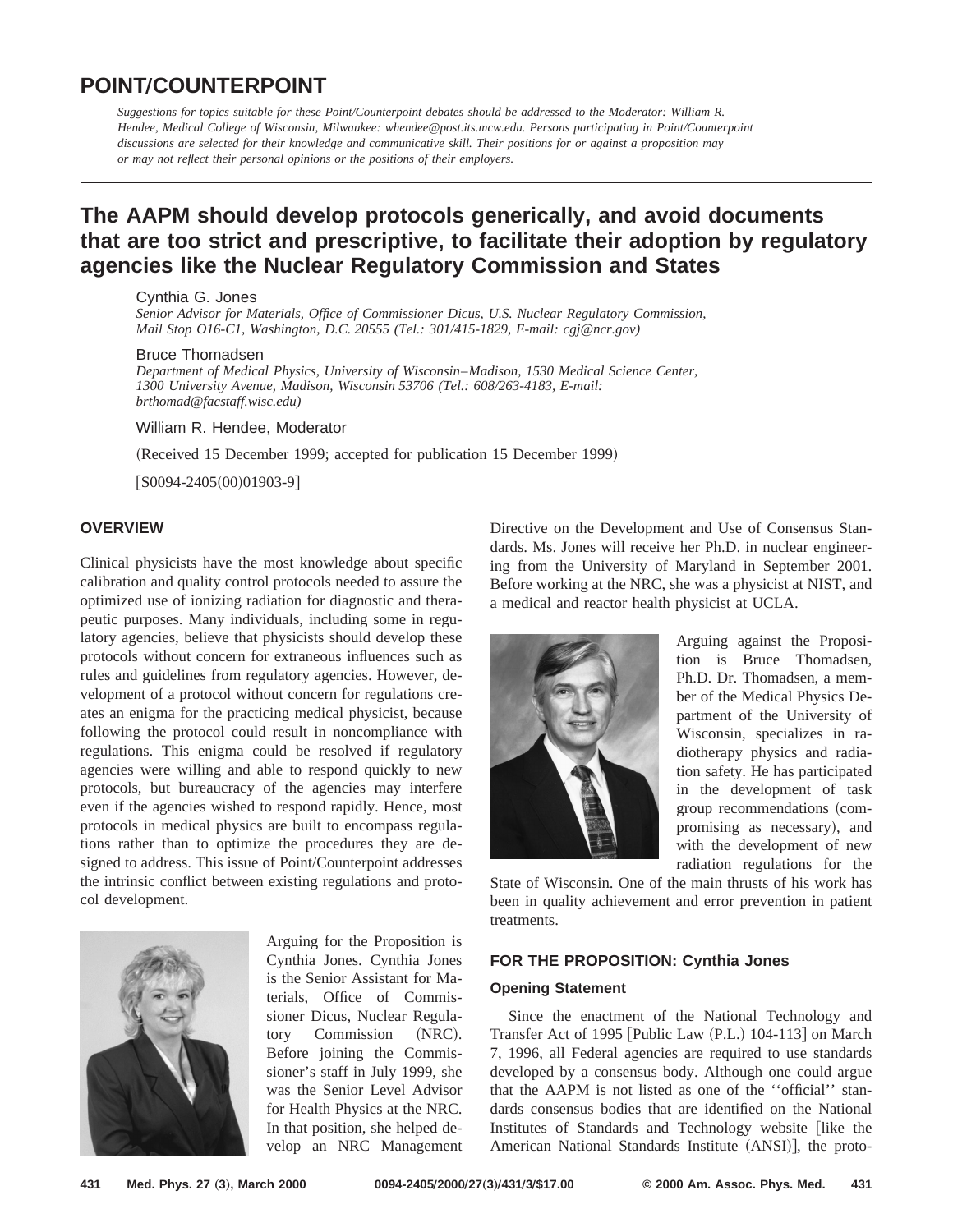# **POINTÕCOUNTERPOINT**

*Suggestions for topics suitable for these Point/Counterpoint debates should be addressed to the Moderator: William R. Hendee, Medical College of Wisconsin, Milwaukee: whendee@post.its.mcw.edu. Persons participating in Point/Counterpoint discussions are selected for their knowledge and communicative skill. Their positions for or against a proposition may or may not reflect their personal opinions or the positions of their employers.*

# **The AAPM should develop protocols generically, and avoid documents that are too strict and prescriptive, to facilitate their adoption by regulatory agencies like the Nuclear Regulatory Commission and States**

#### Cynthia G. Jones

*Senior Advisor for Materials, Office of Commissioner Dicus, U.S. Nuclear Regulatory Commission, Mail Stop O16-C1, Washington, D.C. 20555 (Tel.: 301/415-1829, E-mail: cgj@ncr.gov)*

#### Bruce Thomadsen

*Department of Medical Physics, University of Wisconsin*–*Madison, 1530 Medical Science Center, 1300 University Avenue, Madison, Wisconsin 53706 (Tel.: 608/263-4183, E-mail: brthomad@facstaff.wisc.edu)*

William R. Hendee, Moderator

(Received 15 December 1999; accepted for publication 15 December 1999)

 $[$ S0094-2405 $(00)$ 01903-9]

# **OVERVIEW**

Clinical physicists have the most knowledge about specific calibration and quality control protocols needed to assure the optimized use of ionizing radiation for diagnostic and therapeutic purposes. Many individuals, including some in regulatory agencies, believe that physicists should develop these protocols without concern for extraneous influences such as rules and guidelines from regulatory agencies. However, development of a protocol without concern for regulations creates an enigma for the practicing medical physicist, because following the protocol could result in noncompliance with regulations. This enigma could be resolved if regulatory agencies were willing and able to respond quickly to new protocols, but bureaucracy of the agencies may interfere even if the agencies wished to respond rapidly. Hence, most protocols in medical physics are built to encompass regulations rather than to optimize the procedures they are designed to address. This issue of Point/Counterpoint addresses the intrinsic conflict between existing regulations and protocol development.



Arguing for the Proposition is Cynthia Jones. Cynthia Jones is the Senior Assistant for Materials, Office of Commissioner Dicus, Nuclear Regulatory Commission (NRC). Before joining the Commissioner's staff in July 1999, she was the Senior Level Advisor for Health Physics at the NRC. In that position, she helped develop an NRC Management

Directive on the Development and Use of Consensus Standards. Ms. Jones will receive her Ph.D. in nuclear engineering from the University of Maryland in September 2001. Before working at the NRC, she was a physicist at NIST, and a medical and reactor health physicist at UCLA.



Arguing against the Proposition is Bruce Thomadsen, Ph.D. Dr. Thomadsen, a member of the Medical Physics Department of the University of Wisconsin, specializes in radiotherapy physics and radiation safety. He has participated in the development of task group recommendations (compromising as necessary), and with the development of new radiation regulations for the

State of Wisconsin. One of the main thrusts of his work has been in quality achievement and error prevention in patient treatments.

## **FOR THE PROPOSITION: Cynthia Jones**

### **Opening Statement**

Since the enactment of the National Technology and Transfer Act of 1995 [Public Law (P.L.) 104-113] on March 7, 1996, all Federal agencies are required to use standards developed by a consensus body. Although one could argue that the AAPM is not listed as one of the ''official'' standards consensus bodies that are identified on the National Institutes of Standards and Technology website [like the American National Standards Institute (ANSI)], the proto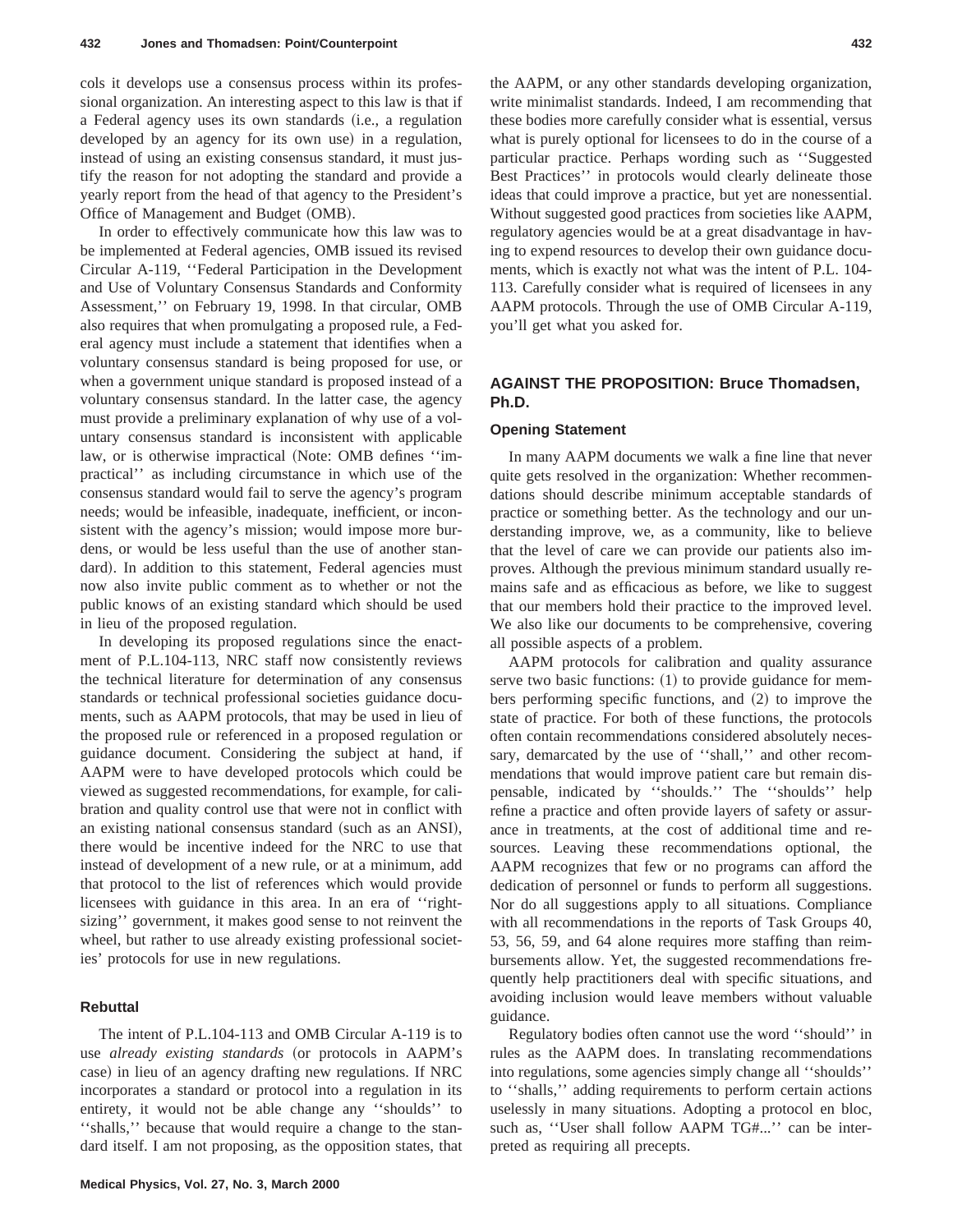cols it develops use a consensus process within its professional organization. An interesting aspect to this law is that if a Federal agency uses its own standards (i.e., a regulation developed by an agency for its own use) in a regulation, instead of using an existing consensus standard, it must justify the reason for not adopting the standard and provide a yearly report from the head of that agency to the President's Office of Management and Budget (OMB).

In order to effectively communicate how this law was to be implemented at Federal agencies, OMB issued its revised Circular A-119, ''Federal Participation in the Development and Use of Voluntary Consensus Standards and Conformity Assessment,'' on February 19, 1998. In that circular, OMB also requires that when promulgating a proposed rule, a Federal agency must include a statement that identifies when a voluntary consensus standard is being proposed for use, or when a government unique standard is proposed instead of a voluntary consensus standard. In the latter case, the agency must provide a preliminary explanation of why use of a voluntary consensus standard is inconsistent with applicable law, or is otherwise impractical (Note: OMB defines "impractical'' as including circumstance in which use of the consensus standard would fail to serve the agency's program needs; would be infeasible, inadequate, inefficient, or inconsistent with the agency's mission; would impose more burdens, or would be less useful than the use of another standard). In addition to this statement, Federal agencies must now also invite public comment as to whether or not the public knows of an existing standard which should be used in lieu of the proposed regulation.

In developing its proposed regulations since the enactment of P.L.104-113, NRC staff now consistently reviews the technical literature for determination of any consensus standards or technical professional societies guidance documents, such as AAPM protocols, that may be used in lieu of the proposed rule or referenced in a proposed regulation or guidance document. Considering the subject at hand, if AAPM were to have developed protocols which could be viewed as suggested recommendations, for example, for calibration and quality control use that were not in conflict with an existing national consensus standard (such as an ANSI), there would be incentive indeed for the NRC to use that instead of development of a new rule, or at a minimum, add that protocol to the list of references which would provide licensees with guidance in this area. In an era of ''rightsizing'' government, it makes good sense to not reinvent the wheel, but rather to use already existing professional societies' protocols for use in new regulations.

## **Rebuttal**

The intent of P.L.104-113 and OMB Circular A-119 is to use *already existing standards* (or protocols in AAPM's case) in lieu of an agency drafting new regulations. If NRC incorporates a standard or protocol into a regulation in its entirety, it would not be able change any ''shoulds'' to ''shalls,'' because that would require a change to the standard itself. I am not proposing, as the opposition states, that the AAPM, or any other standards developing organization, write minimalist standards. Indeed, I am recommending that these bodies more carefully consider what is essential, versus what is purely optional for licensees to do in the course of a particular practice. Perhaps wording such as ''Suggested Best Practices'' in protocols would clearly delineate those ideas that could improve a practice, but yet are nonessential. Without suggested good practices from societies like AAPM, regulatory agencies would be at a great disadvantage in having to expend resources to develop their own guidance documents, which is exactly not what was the intent of P.L. 104- 113. Carefully consider what is required of licensees in any AAPM protocols. Through the use of OMB Circular A-119, you'll get what you asked for.

## **AGAINST THE PROPOSITION: Bruce Thomadsen, Ph.D.**

#### **Opening Statement**

In many AAPM documents we walk a fine line that never quite gets resolved in the organization: Whether recommendations should describe minimum acceptable standards of practice or something better. As the technology and our understanding improve, we, as a community, like to believe that the level of care we can provide our patients also improves. Although the previous minimum standard usually remains safe and as efficacious as before, we like to suggest that our members hold their practice to the improved level. We also like our documents to be comprehensive, covering all possible aspects of a problem.

AAPM protocols for calibration and quality assurance serve two basic functions:  $(1)$  to provide guidance for members performing specific functions, and  $(2)$  to improve the state of practice. For both of these functions, the protocols often contain recommendations considered absolutely necessary, demarcated by the use of ''shall,'' and other recommendations that would improve patient care but remain dispensable, indicated by ''shoulds.'' The ''shoulds'' help refine a practice and often provide layers of safety or assurance in treatments, at the cost of additional time and resources. Leaving these recommendations optional, the AAPM recognizes that few or no programs can afford the dedication of personnel or funds to perform all suggestions. Nor do all suggestions apply to all situations. Compliance with all recommendations in the reports of Task Groups 40, 53, 56, 59, and 64 alone requires more staffing than reimbursements allow. Yet, the suggested recommendations frequently help practitioners deal with specific situations, and avoiding inclusion would leave members without valuable guidance.

Regulatory bodies often cannot use the word ''should'' in rules as the AAPM does. In translating recommendations into regulations, some agencies simply change all ''shoulds'' to ''shalls,'' adding requirements to perform certain actions uselessly in many situations. Adopting a protocol en bloc, such as, ''User shall follow AAPM TG#...'' can be interpreted as requiring all precepts.